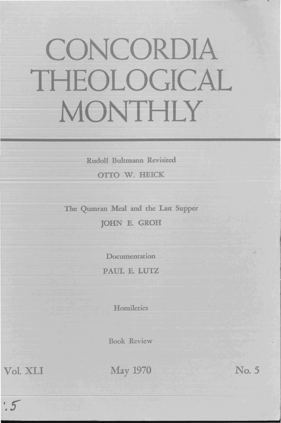## CONCORDIA THEOLOGICAL MONTHLY

Rudolf Bultmann Revisited

OTfO W. HEICK

The Qumran Meal and the Last Supper JOHN E. GROH

> Documentation PAUL E. LUTZ

> > **Homiletics**

Book Review

 $.5$ 

Vol. XLI May 1970

No. 5

j